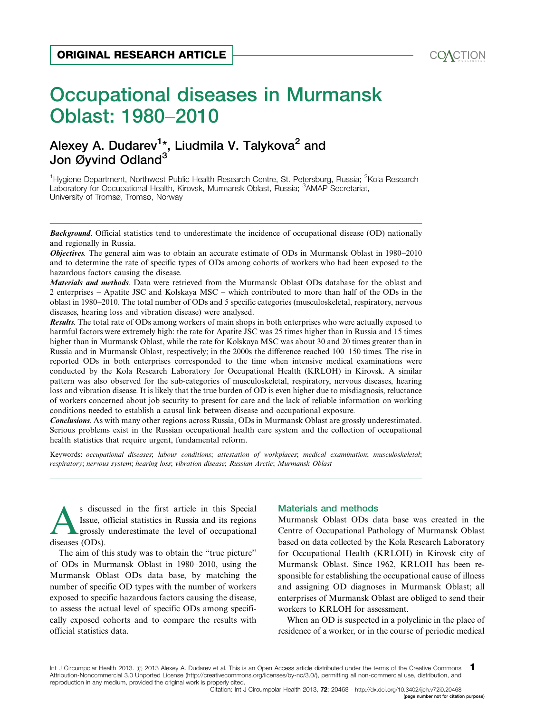# Occupational diseases in Murmansk Oblast: 1980-2010 ORIGINAL RESEARCH ARTICLE<br>Occupational diseases in Murmansk<br>Oblast: 1980–2010<br>Alexev A Dudarev<sup>1\*</sup> Liudmila V Talvkova<sup>2</sup> and

# Alexey A. Dudarev<sup>1</sup>[\\*](#page-5-0), Liudmila V. Talykova<sup>2</sup> and Jon Øyvind Odland<sup>3</sup>

<sup>1</sup>Hygiene Department, Northwest Public Health Research Centre, St. Petersburg, Russia; <sup>2</sup>Kola Research Laboratory for Occupational Health, Kirovsk, Murmansk Oblast, Russia; <sup>3</sup>AMAP Secretariat, University of Tromsø, Tromsø, Norway

**Background.** Official statistics tend to underestimate the incidence of occupational disease (OD) nationally and regionally in Russia.

*Objectives*. The general aim was to obtain an accurate estimate of ODs in Murmansk Oblast in 1980–2010 and to determine the rate of specific types of ODs among cohorts of workers who had been exposed to the hazardous factors causing the disease.

Materials and methods. Data were retrieved from the Murmansk Oblast ODs database for the oblast and 2 enterprises - Apatite JSC and Kolskaya MSC - which contributed to more than half of the ODs in the oblast in 1980-2010. The total number of ODs and 5 specific categories (musculoskeletal, respiratory, nervous diseases, hearing loss and vibration disease) were analysed.

Results. The total rate of ODs among workers of main shops in both enterprises who were actually exposed to harmful factors were extremely high: the rate for Apatite JSC was 25 times higher than in Russia and 15 times higher than in Murmansk Oblast, while the rate for Kolskaya MSC was about 30 and 20 times greater than in Russia and in Murmansk Oblast, respectively; in the 2000s the difference reached 100-150 times. The rise in reported ODs in both enterprises corresponded to the time when intensive medical examinations were conducted by the Kola Research Laboratory for Occupational Health (KRLOH) in Kirovsk. A similar pattern was also observed for the sub-categories of musculoskeletal, respiratory, nervous diseases, hearing loss and vibration disease. It is likely that the true burden of OD is even higher due to misdiagnosis, reluctance of workers concerned about job security to present for care and the lack of reliable information on working conditions needed to establish a causal link between disease and occupational exposure.

Conclusions. As with many other regions across Russia, ODs in Murmansk Oblast are grossly underestimated. Serious problems exist in the Russian occupational health care system and the collection of occupational health statistics that require urgent, fundamental reform.

Keywords: occupational diseases; labour conditions; attestation of workplaces; medical examination; musculoskeletal; respiratory; nervous system; hearing loss; vibration disease; Russian Arctic; Murmansk Oblast

S discussed in the first article in this Special<br>Issue, official statistics in Russia and its regions<br>grossly underestimate the level of occupational<br>diseases (ODe) Issue, official statistics in Russia and its regions grossly underestimate the level of occupational diseases (ODs).

The aim of this study was to obtain the ''true picture'' of ODs in Murmansk Oblast in 1980-2010, using the Murmansk Oblast ODs data base, by matching the number of specific OD types with the number of workers exposed to specific hazardous factors causing the disease, to assess the actual level of specific ODs among specifically exposed cohorts and to compare the results with official statistics data.

### Materials and methods

Murmansk Oblast ODs data base was created in the Centre of Occupational Pathology of Murmansk Oblast based on data collected by the Kola Research Laboratory for Occupational Health (KRLOH) in Kirovsk city of Murmansk Oblast. Since 1962, KRLOH has been responsible for establishing the occupational cause of illness and assigning OD diagnoses in Murmansk Oblast; all enterprises of Murmansk Oblast are obliged to send their workers to KRLOH for assessment.

When an OD is suspected in a polyclinic in the place of residence of a worker, or in the course of periodic medical

Int J Circumpolar Health 2013. @ 2013 Alexey A. Dudarev et al. This is an Open Access article distributed under the terms of the Creative Commons Attribution-Noncommercial 3.0 Unported License (http://creativecommons.org/licenses/by-nc/3.0/), permitting all non-commercial use, distribution, and reproduction in any medium, provided the original work is properly cited. 1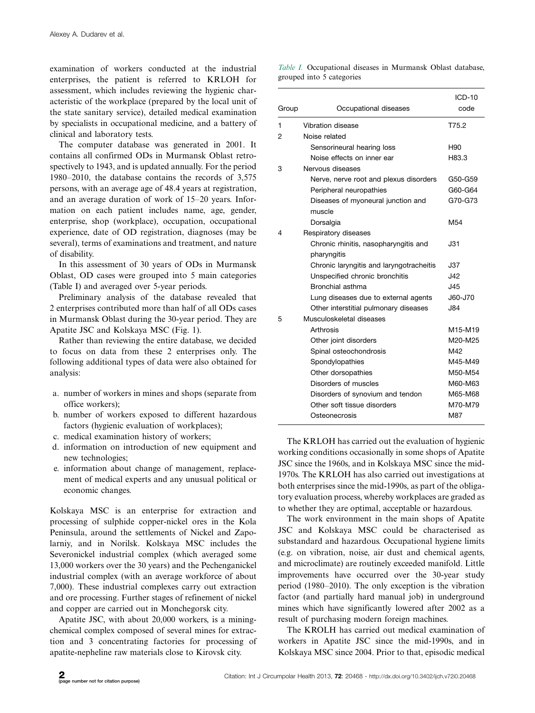examination of workers conducted at the industrial enterprises, the patient is referred to KRLOH for assessment, which includes reviewing the hygienic characteristic of the workplace (prepared by the local unit of the state sanitary service), detailed medical examination by specialists in occupational medicine, and a battery of clinical and laboratory tests.

The computer database was generated in 2001. It contains all confirmed ODs in Murmansk Oblast retrospectively to 1943, and is updated annually. For the period 1980-2010, the database contains the records of 3,575 persons, with an average age of 48.4 years at registration, and an average duration of work of 15-20 years. Information on each patient includes name, age, gender, enterprise, shop (workplace), occupation, occupational experience, date of OD registration, diagnoses (may be several), terms of examinations and treatment, and nature of disability.

In this assessment of 30 years of ODs in Murmansk Oblast, OD cases were grouped into 5 main categories (Table I) and averaged over 5-year periods.

Preliminary analysis of the database revealed that 2 enterprises contributed more than half of all ODs cases in Murmansk Oblast during the 30-year period. They are Apatite JSC and Kolskaya MSC (Fig. 1).

Rather than reviewing the entire database, we decided to focus on data from these 2 enterprises only. The following additional types of data were also obtained for analysis:

- a. number of workers in mines and shops (separate from office workers);
- b. number of workers exposed to different hazardous factors (hygienic evaluation of workplaces);
- c. medical examination history of workers;
- d. information on introduction of new equipment and new technologies;
- e. information about change of management, replacement of medical experts and any unusual political or economic changes.

Kolskaya MSC is an enterprise for extraction and processing of sulphide copper-nickel ores in the Kola Peninsula, around the settlements of Nickel and Zapolarniy, and in Norilsk. Kolskaya MSC includes the Severonickel industrial complex (which averaged some 13,000 workers over the 30 years) and the Pechenganickel industrial complex (with an average workforce of about 7,000). These industrial complexes carry out extraction and ore processing. Further stages of refinement of nickel and copper are carried out in Monchegorsk city.

Apatite JSC, with about 20,000 workers, is a miningchemical complex composed of several mines for extraction and 3 concentrating factories for processing of apatite-nepheline raw materials close to Kirovsk city.

Table I. Occupational diseases in Murmansk Oblast database, grouped into 5 categories

| Group | Occupational diseases                        | $ICD-10$<br>code |
|-------|----------------------------------------------|------------------|
| 1     | Vibration disease                            | T75.2            |
| 2     | Noise related                                |                  |
|       | Sensorineural hearing loss                   | H90              |
|       | Noise effects on inner ear                   | H83.3            |
| 3     | Nervous diseases                             |                  |
|       | Nerve, nerve root and plexus disorders       | G50-G59          |
|       | Peripheral neuropathies                      | G60-G64          |
|       | Diseases of myoneural junction and<br>muscle | G70-G73          |
|       | Dorsalgia                                    | M <sub>54</sub>  |
| 4     | Respiratory diseases                         |                  |
|       | Chronic rhinitis, nasopharyngitis and        | J31              |
|       | pharyngitis                                  |                  |
|       | Chronic laryngitis and laryngotracheitis     | <b>J37</b>       |
|       | Unspecified chronic bronchitis               | J42              |
|       | Bronchial asthma                             | .I45             |
|       | Lung diseases due to external agents         | J60-J70          |
|       | Other interstitial pulmonary diseases        | J84              |
| 5     | Musculoskeletal diseases                     |                  |
|       | Arthrosis                                    | M15-M19          |
|       | Other joint disorders                        | M20-M25          |
|       | Spinal osteochondrosis                       | M42              |
|       | Spondylopathies                              | M45-M49          |
|       | Other dorsopathies                           | M50-M54          |
|       | Disorders of muscles                         | M60-M63          |
|       | Disorders of synovium and tendon             | M65-M68          |
|       | Other soft tissue disorders                  | M70-M79          |
|       | Osteonecrosis                                | M87              |

The KRLOH has carried out the evaluation of hygienic working conditions occasionally in some shops of Apatite JSC since the 1960s, and in Kolskaya MSC since the mid-1970s. The KRLOH has also carried out investigations at both enterprises since the mid-1990s, as part of the obligatory evaluation process, whereby workplaces are graded as to whether they are optimal, acceptable or hazardous.

The work environment in the main shops of Apatite JSC and Kolskaya MSC could be characterised as substandard and hazardous. Occupational hygiene limits (e.g. on vibration, noise, air dust and chemical agents, and microclimate) are routinely exceeded manifold. Little improvements have occurred over the 30-year study period (1980-2010). The only exception is the vibration factor (and partially hard manual job) in underground mines which have significantly lowered after 2002 as a result of purchasing modern foreign machines.

The KROLH has carried out medical examination of workers in Apatite JSC since the mid-1990s, and in Kolskaya MSC since 2004. Prior to that, episodic medical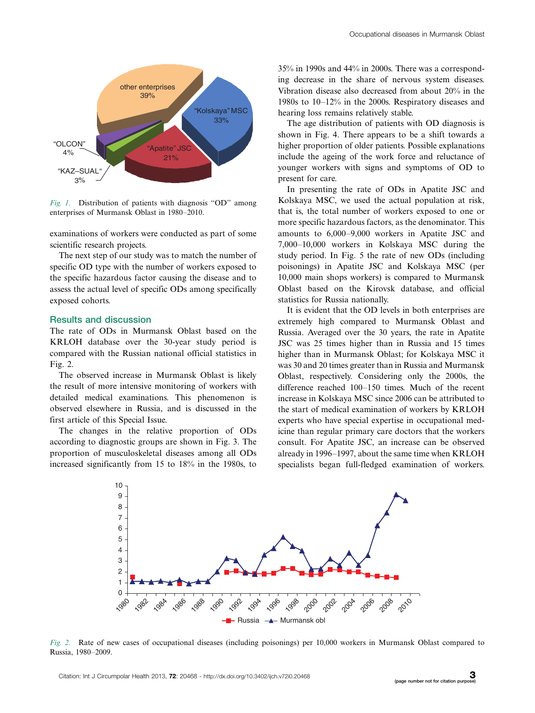

Fig. 1. Distribution of patients with diagnosis "OD" among enterprises of Murmansk Oblast in 1980-2010.

examinations of workers were conducted as part of some scientific research projects.

The next step of our study was to match the number of specific OD type with the number of workers exposed to the specific hazardous factor causing the disease and to assess the actual level of specific ODs among specifically exposed cohorts.

### Results and discussion

The rate of ODs in Murmansk Oblast based on the KRLOH database over the 30-year study period is compared with the Russian national official statistics in Fig. 2.

The observed increase in Murmansk Oblast is likely the result of more intensive monitoring of workers with detailed medical examinations. This phenomenon is observed elsewhere in Russia, and is discussed in the first article of this Special Issue.

The changes in the relative proportion of ODs according to diagnostic groups are shown in Fig. 3. The proportion of musculoskeletal diseases among all ODs increased significantly from 15 to 18% in the 1980s, to 35% in 1990s and 44% in 2000s. There was a corresponding decrease in the share of nervous system diseases. Vibration disease also decreased from about 20% in the 1980s to 10-12% in the 2000s. Respiratory diseases and hearing loss remains relatively stable.

The age distribution of patients with OD diagnosis is shown in Fig. 4. There appears to be a shift towards a higher proportion of older patients. Possible explanations include the ageing of the work force and reluctance of younger workers with signs and symptoms of OD to present for care.

In presenting the rate of ODs in Apatite JSC and Kolskaya MSC, we used the actual population at risk, that is, the total number of workers exposed to one or more specific hazardous factors, as the denominator. This amounts to 6,000-9,000 workers in Apatite JSC and 7,000-10,000 workers in Kolskaya MSC during the study period. In Fig. 5 the rate of new ODs (including poisonings) in Apatite JSC and Kolskaya MSC (per 10,000 main shops workers) is compared to Murmansk Oblast based on the Kirovsk database, and official statistics for Russia nationally.

It is evident that the OD levels in both enterprises are extremely high compared to Murmansk Oblast and Russia. Averaged over the 30 years, the rate in Apatite JSC was 25 times higher than in Russia and 15 times higher than in Murmansk Oblast; for Kolskaya MSC it was 30 and 20 times greater than in Russia and Murmansk Oblast, respectively. Considering only the 2000s, the difference reached 100-150 times. Much of the recent increase in Kolskaya MSC since 2006 can be attributed to the start of medical examination of workers by KRLOH experts who have special expertise in occupational medicine than regular primary care doctors that the workers consult. For Apatite JSC, an increase can be observed already in 1996-1997, about the same time when KRLOH specialists began full-fledged examination of workers.



Fig. 2. Rate of new cases of occupational diseases (including poisonings) per 10,000 workers in Murmansk Oblast compared to Russia, 1980-2009.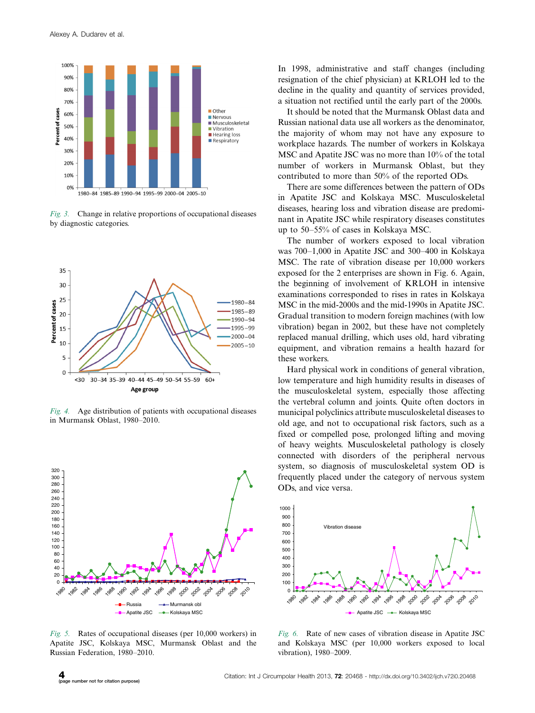

Fig. 3. Change in relative proportions of occupational diseases by diagnostic categories.



Fig. 4. Age distribution of patients with occupational diseases in Murmansk Oblast, 1980-2010.



Fig. 5. Rates of occupational diseases (per 10,000 workers) in Apatite JSC, Kolskaya MSC, Murmansk Oblast and the Russian Federation, 1980-2010.

In 1998, administrative and staff changes (including resignation of the chief physician) at KRLOH led to the decline in the quality and quantity of services provided, a situation not rectified until the early part of the 2000s.

It should be noted that the Murmansk Oblast data and Russian national data use all workers as the denominator, the majority of whom may not have any exposure to workplace hazards. The number of workers in Kolskaya MSC and Apatite JSC was no more than 10% of the total number of workers in Murmansk Oblast, but they contributed to more than 50% of the reported ODs.

There are some differences between the pattern of ODs in Apatite JSC and Kolskaya MSC. Musculoskeletal diseases, hearing loss and vibration disease are predominant in Apatite JSC while respiratory diseases constitutes up to 50-55% of cases in Kolskaya MSC.

The number of workers exposed to local vibration was 700-1,000 in Apatite JSC and 300-400 in Kolskaya MSC. The rate of vibration disease per 10,000 workers exposed for the 2 enterprises are shown in Fig. 6. Again, the beginning of involvement of KRLOH in intensive examinations corresponded to rises in rates in Kolskaya MSC in the mid-2000s and the mid-1990s in Apatite JSC. Gradual transition to modern foreign machines (with low vibration) began in 2002, but these have not completely replaced manual drilling, which uses old, hard vibrating equipment, and vibration remains a health hazard for these workers.

Hard physical work in conditions of general vibration, low temperature and high humidity results in diseases of the musculoskeletal system, especially those affecting the vertebral column and joints. Quite often doctors in municipal polyclinics attribute musculoskeletal diseases to old age, and not to occupational risk factors, such as a fixed or compelled pose, prolonged lifting and moving of heavy weights. Musculoskeletal pathology is closely connected with disorders of the peripheral nervous system, so diagnosis of musculoskeletal system OD is frequently placed under the category of nervous system ODs, and vice versa.



Fig. 6. Rate of new cases of vibration disease in Apatite JSC and Kolskaya MSC (per 10,000 workers exposed to local vibration), 1980-2009.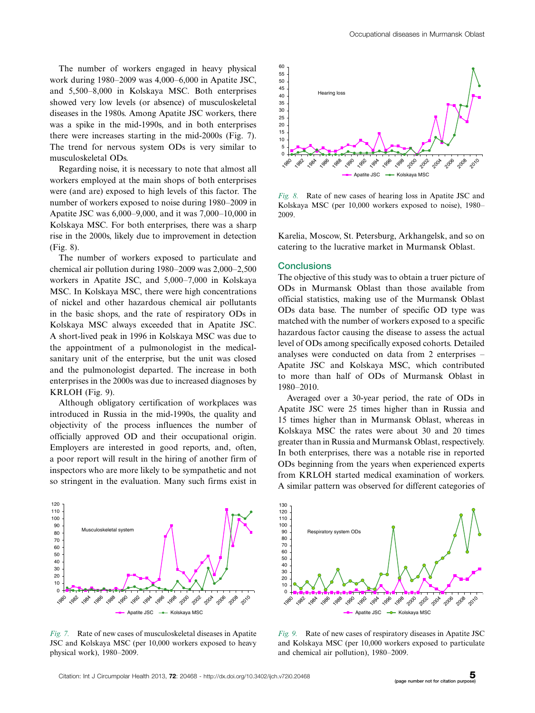The number of workers engaged in heavy physical work during 1980-2009 was 4,000-6,000 in Apatite JSC, and 5,500-8,000 in Kolskaya MSC. Both enterprises showed very low levels (or absence) of musculoskeletal diseases in the 1980s. Among Apatite JSC workers, there was a spike in the mid-1990s, and in both enterprises there were increases starting in the mid-2000s (Fig. 7). The trend for nervous system ODs is very similar to musculoskeletal ODs.

Regarding noise, it is necessary to note that almost all workers employed at the main shops of both enterprises were (and are) exposed to high levels of this factor. The number of workers exposed to noise during 1980-2009 in Apatite JSC was 6,000-9,000, and it was 7,000-10,000 in Kolskaya MSC. For both enterprises, there was a sharp rise in the 2000s, likely due to improvement in detection (Fig. 8).

The number of workers exposed to particulate and chemical air pollution during 1980-2009 was 2,000-2,500 workers in Apatite JSC, and 5,000-7,000 in Kolskaya MSC. In Kolskaya MSC, there were high concentrations of nickel and other hazardous chemical air pollutants in the basic shops, and the rate of respiratory ODs in Kolskaya MSC always exceeded that in Apatite JSC. A short-lived peak in 1996 in Kolskaya MSC was due to the appointment of a pulmonologist in the medicalsanitary unit of the enterprise, but the unit was closed and the pulmonologist departed. The increase in both enterprises in the 2000s was due to increased diagnoses by KRLOH (Fig. 9).

Although obligatory certification of workplaces was introduced in Russia in the mid-1990s, the quality and objectivity of the process influences the number of officially approved OD and their occupational origin. Employers are interested in good reports, and, often, a poor report will result in the hiring of another firm of inspectors who are more likely to be sympathetic and not so stringent in the evaluation. Many such firms exist in

Musculoskeletal system

> 1980 1982 1984 1986 1988 1990 1992 **1994** 1996 1998 200 2002 2004 2006 2008 2010



Apatite JSC -- Kolskaya MSC



Fig. 8. Rate of new cases of hearing loss in Apatite JSC and Kolskaya MSC (per 10,000 workers exposed to noise), 1980- 2009.

Karelia, Moscow, St. Petersburg, Arkhangelsk, and so on catering to the lucrative market in Murmansk Oblast.

### **Conclusions**

The objective of this study was to obtain a truer picture of ODs in Murmansk Oblast than those available from official statistics, making use of the Murmansk Oblast ODs data base. The number of specific OD type was matched with the number of workers exposed to a specific hazardous factor causing the disease to assess the actual level of ODs among specifically exposed cohorts. Detailed analyses were conducted on data from 2 enterprises -Apatite JSC and Kolskaya MSC, which contributed to more than half of ODs of Murmansk Oblast in 1980-2010.

Averaged over a 30-year period, the rate of ODs in Apatite JSC were 25 times higher than in Russia and 15 times higher than in Murmansk Oblast, whereas in Kolskaya MSC the rates were about 30 and 20 times greater than in Russia and Murmansk Oblast, respectively. In both enterprises, there was a notable rise in reported ODs beginning from the years when experienced experts from KRLOH started medical examination of workers. A similar pattern was observed for different categories of



Fig. 9. Rate of new cases of respiratory diseases in Apatite JSC and Kolskaya MSC (per 10,000 workers exposed to particulate and chemical air pollution), 1980-2009.